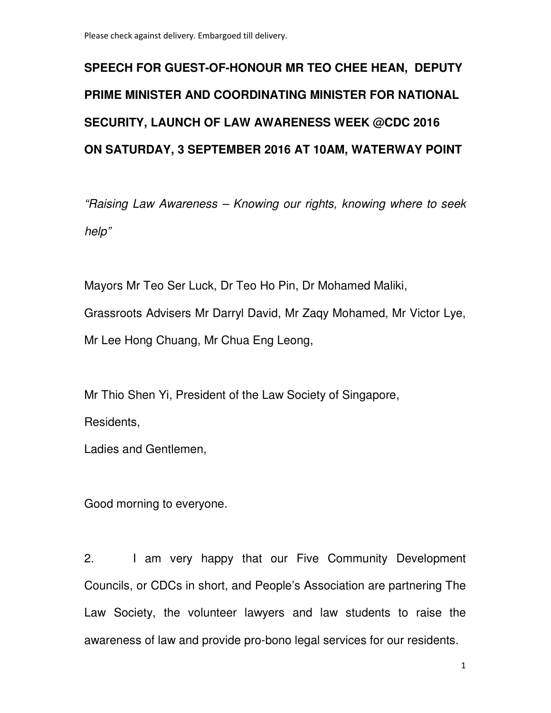## **SPEECH FOR GUEST-OF-HONOUR MR TEO CHEE HEAN, DEPUTY PRIME MINISTER AND COORDINATING MINISTER FOR NATIONAL SECURITY, LAUNCH OF LAW AWARENESS WEEK @CDC 2016 ON SATURDAY, 3 SEPTEMBER 2016 AT 10AM, WATERWAY POINT**

"Raising Law Awareness – Knowing our rights, knowing where to seek help"

Mayors Mr Teo Ser Luck, Dr Teo Ho Pin, Dr Mohamed Maliki, Grassroots Advisers Mr Darryl David, Mr Zaqy Mohamed, Mr Victor Lye, Mr Lee Hong Chuang, Mr Chua Eng Leong,

Mr Thio Shen Yi, President of the Law Society of Singapore,

Residents,

Ladies and Gentlemen,

Good morning to everyone.

2. I am very happy that our Five Community Development Councils, or CDCs in short, and People's Association are partnering The Law Society, the volunteer lawyers and law students to raise the awareness of law and provide pro-bono legal services for our residents.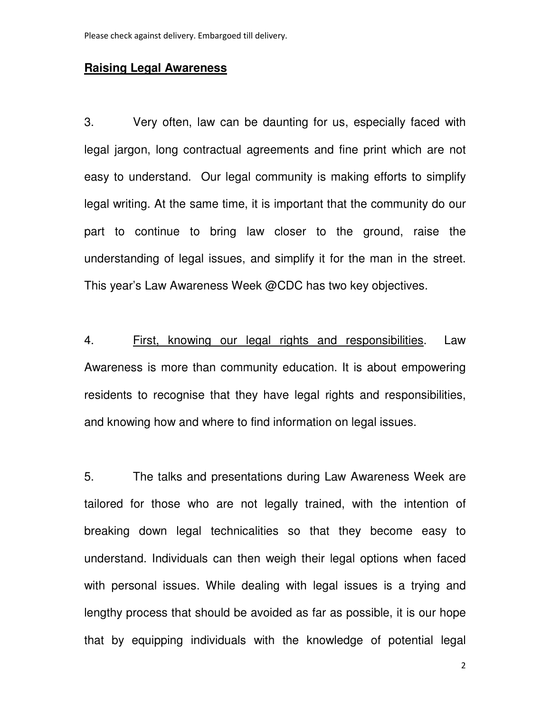## **Raising Legal Awareness**

3. Very often, law can be daunting for us, especially faced with legal jargon, long contractual agreements and fine print which are not easy to understand. Our legal community is making efforts to simplify legal writing. At the same time, it is important that the community do our part to continue to bring law closer to the ground, raise the understanding of legal issues, and simplify it for the man in the street. This year's Law Awareness Week @CDC has two key objectives.

4. First, knowing our legal rights and responsibilities. Law Awareness is more than community education. It is about empowering residents to recognise that they have legal rights and responsibilities, and knowing how and where to find information on legal issues.

5. The talks and presentations during Law Awareness Week are tailored for those who are not legally trained, with the intention of breaking down legal technicalities so that they become easy to understand. Individuals can then weigh their legal options when faced with personal issues. While dealing with legal issues is a trying and lengthy process that should be avoided as far as possible, it is our hope that by equipping individuals with the knowledge of potential legal

2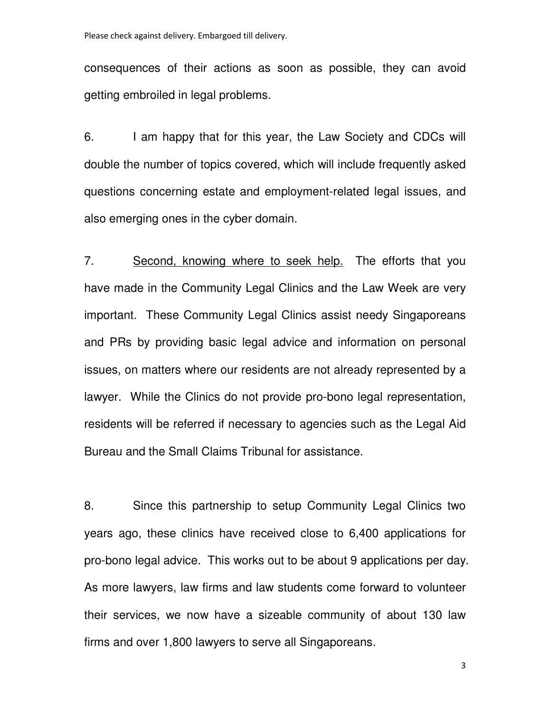consequences of their actions as soon as possible, they can avoid getting embroiled in legal problems.

6. I am happy that for this year, the Law Society and CDCs will double the number of topics covered, which will include frequently asked questions concerning estate and employment-related legal issues, and also emerging ones in the cyber domain.

7. Second, knowing where to seek help. The efforts that you have made in the Community Legal Clinics and the Law Week are very important. These Community Legal Clinics assist needy Singaporeans and PRs by providing basic legal advice and information on personal issues, on matters where our residents are not already represented by a lawyer. While the Clinics do not provide pro-bono legal representation, residents will be referred if necessary to agencies such as the Legal Aid Bureau and the Small Claims Tribunal for assistance.

8. Since this partnership to setup Community Legal Clinics two years ago, these clinics have received close to 6,400 applications for pro-bono legal advice. This works out to be about 9 applications per day. As more lawyers, law firms and law students come forward to volunteer their services, we now have a sizeable community of about 130 law firms and over 1,800 lawyers to serve all Singaporeans.

3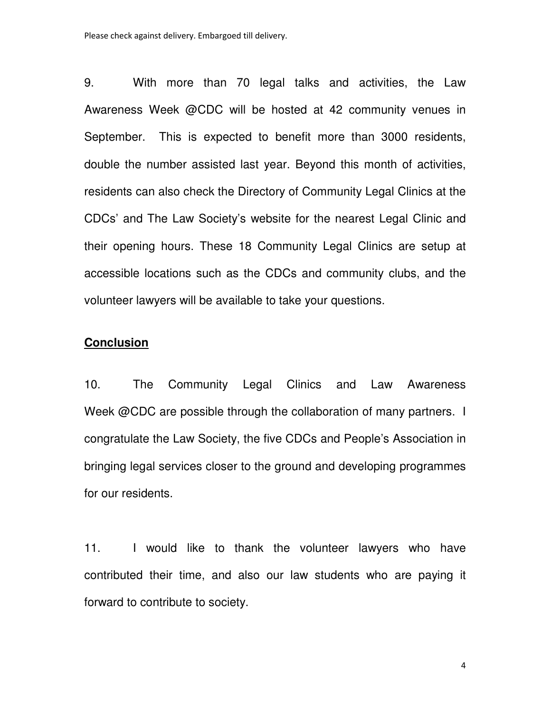9. With more than 70 legal talks and activities, the Law Awareness Week @CDC will be hosted at 42 community venues in September. This is expected to benefit more than 3000 residents, double the number assisted last year. Beyond this month of activities, residents can also check the Directory of Community Legal Clinics at the CDCs' and The Law Society's website for the nearest Legal Clinic and their opening hours. These 18 Community Legal Clinics are setup at accessible locations such as the CDCs and community clubs, and the volunteer lawyers will be available to take your questions.

## **Conclusion**

10. The Community Legal Clinics and Law Awareness Week @CDC are possible through the collaboration of many partners. I congratulate the Law Society, the five CDCs and People's Association in bringing legal services closer to the ground and developing programmes for our residents.

11. I would like to thank the volunteer lawyers who have contributed their time, and also our law students who are paying it forward to contribute to society.

4